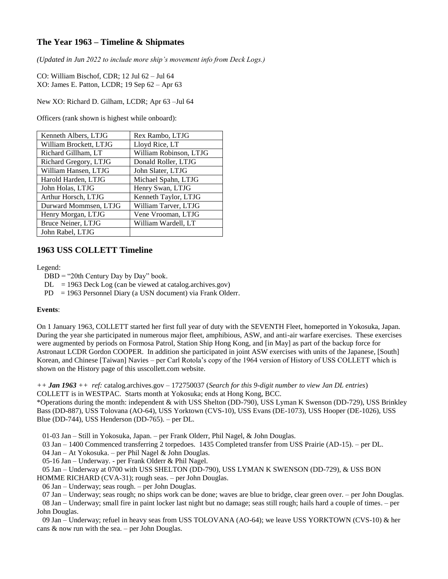## **The Year 1963 – Timeline & Shipmates**

*(Updated in Jun 2022 to include more ship's movement info from Deck Logs.)*

CO: William Bischof, CDR; 12 Jul 62 – Jul 64 XO: James E. Patton, LCDR; 19 Sep 62 – Apr 63

New XO: Richard D. Gilham, LCDR; Apr 63 –Jul 64

Officers (rank shown is highest while onboard):

| Kenneth Albers, LTJG   | Rex Rambo, LTJG        |
|------------------------|------------------------|
| William Brockett, LTJG | Lloyd Rice, LT         |
| Richard Gillham, LT    | William Robinson, LTJG |
| Richard Gregory, LTJG  | Donald Roller, LTJG    |
| William Hansen, LTJG   | John Slater, LTJG      |
| Harold Harden, LTJG    | Michael Spahn, LTJG    |
| John Holas, LTJG       | Henry Swan, LTJG       |
| Arthur Horsch, LTJG    | Kenneth Taylor, LTJG   |
| Durward Mommsen, LTJG  | William Tarver, LTJG   |
| Henry Morgan, LTJG     | Vene Vrooman, LTJG     |
| Bruce Neiner, LTJG     | William Wardell, LT    |
| John Rabel, LTJG       |                        |

## **1963 USS COLLETT Timeline**

Legend:

 $DBD = "20th Century Day by Day" book.$ 

 $DL = 1963$  Deck Log (can be viewed at catalog.archives.gov)

PD = 1963 Personnel Diary (a USN document) via Frank Olderr.

## **Events**:

On 1 January 1963, COLLETT started her first full year of duty with the SEVENTH Fleet, homeported in Yokosuka, Japan. During the year she participated in numerous major fleet, amphibious, ASW, and anti-air warfare exercises. These exercises were augmented by periods on Formosa Patrol, Station Ship Hong Kong, and [in May] as part of the backup force for Astronaut LCDR Gordon COOPER. In addition she participated in joint ASW exercises with units of the Japanese, [South] Korean, and Chinese [Taiwan] Navies – per Carl Rotola's copy of the 1964 version of History of USS COLLETT which is shown on the History page of this usscollett.com website.

*++ Jan 1963 ++ ref:* catalog.archives.gov – 172750037 (*Search for this 9-digit number to view Jan DL entries*) COLLETT is in WESTPAC. Starts month at Yokosuka; ends at Hong Kong, BCC.

\*Operations during the month: independent & with USS Shelton (DD-790), USS Lyman K Swenson (DD-729), USS Brinkley Bass (DD-887), USS Tolovana (AO-64), USS Yorktown (CVS-10), USS Evans (DE-1073), USS Hooper (DE-1026), USS Blue (DD-744), USS Henderson (DD-765). – per DL.

01-03 Jan – Still in Yokosuka, Japan. – per Frank Olderr, Phil Nagel, & John Douglas.

03 Jan – 1400 Commenced transferring 2 torpedoes. 1435 Completed transfer from USS Prairie (AD-15). – per DL.

04 Jan – At Yokosuka. – per Phil Nagel & John Douglas.

05-16 Jan – Underway. - per Frank Olderr & Phil Nagel.

05 Jan – Underway at 0700 with USS SHELTON (DD-790), USS LYMAN K SWENSON (DD-729), & USS BON

HOMME RICHARD (CVA-31); rough seas. – per John Douglas.

06 Jan – Underway; seas rough. – per John Douglas.

 07 Jan – Underway; seas rough; no ships work can be done; waves are blue to bridge, clear green over. – per John Douglas. 08 Jan – Underway; small fire in paint locker last night but no damage; seas still rough; hails hard a couple of times. – per

John Douglas.

 09 Jan – Underway; refuel in heavy seas from USS TOLOVANA (AO-64); we leave USS YORKTOWN (CVS-10) & her cans  $\&$  now run with the sea. – per John Douglas.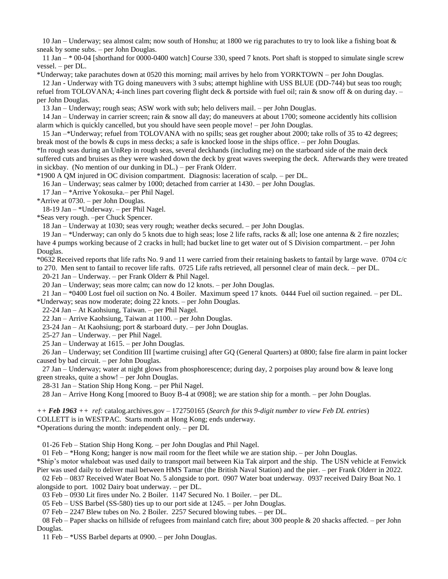10 Jan – Underway; sea almost calm; now south of Honshu; at 1800 we rig parachutes to try to look like a fishing boat & sneak by some subs. – per John Douglas.

 11 Jan – \* 00-04 [shorthand for 0000-0400 watch] Course 330, speed 7 knots. Port shaft is stopped to simulate single screw vessel. – per DL.

\*Underway; take parachutes down at 0520 this morning; mail arrives by helo from YORKTOWN – per John Douglas.

 12 Jan - Underway with TG doing maneuvers with 3 subs; attempt highline with USS BLUE (DD-744) but seas too rough; refuel from TOLOVANA; 4-inch lines part covering flight deck & portside with fuel oil; rain & snow off & on during day. – per John Douglas.

13 Jan – Underway; rough seas; ASW work with sub; helo delivers mail. – per John Douglas.

 14 Jan – Underway in carrier screen; rain & snow all day; do maneuvers at about 1700; someone accidently hits collision alarm which is quickly cancelled, but you should have seen people move! – per John Douglas.

 15 Jan –\*Underway; refuel from TOLOVANA with no spills; seas get rougher about 2000; take rolls of 35 to 42 degrees; break most of the bowls & cups in mess decks; a safe is knocked loose in the ships office. – per John Douglas.

\*In rough seas during an UnRep in rough seas, several deckhands (including me) on the starboard side of the main deck suffered cuts and bruises as they were washed down the deck by great waves sweeping the deck. Afterwards they were treated in sickbay. (No mention of our dunking in DL.) – per Frank Olderr.

\*1900 A QM injured in OC division compartment. Diagnosis: laceration of scalp. – per DL.

16 Jan – Underway; seas calmer by 1000; detached from carrier at 1430. – per John Douglas.

17 Jan – \*Arrive Yokosuka.– per Phil Nagel.

\*Arrive at 0730. – per John Douglas.

18-19 Jan – \*Underway. – per Phil Nagel.

\*Seas very rough. –per Chuck Spencer.

18 Jan – Underway at 1030; seas very rough; weather decks secured. – per John Douglas.

 19 Jan – \*Underway; can only do 5 knots due to high seas; lose 2 life rafts, racks & all; lose one antenna & 2 fire nozzles; have 4 pumps working because of 2 cracks in hull; had bucket line to get water out of S Division compartment. – per John Douglas.

\*0632 Received reports that life rafts No. 9 and 11 were carried from their retaining baskets to fantail by large wave. 0704 c/c to 270. Men sent to fantail to recover life rafts. 0725 Life rafts retrieved, all personnel clear of main deck. – per DL.

20-21 Jan – Underway. – per Frank Olderr & Phil Nagel.

20 Jan – Underway; seas more calm; can now do 12 knots. – per John Douglas.

 21 Jan – \*0400 Lost fuel oil suction on No. 4 Boiler. Maximum speed 17 knots. 0444 Fuel oil suction regained. – per DL. \*Underway; seas now moderate; doing 22 knots. – per John Douglas.

22-24 Jan – At Kaohsiung, Taiwan. – per Phil Nagel.

22 Jan – Arrive Kaohsiung, Taiwan at 1100. – per John Douglas.

23-24 Jan – At Kaohsiung; port & starboard duty. – per John Douglas.

25-27 Jan – Underway. – per Phil Nagel.

25 Jan – Underway at 1615. – per John Douglas.

 26 Jan – Underway; set Condition III [wartime cruising] after GQ (General Quarters) at 0800; false fire alarm in paint locker caused by bad circuit. – per John Douglas.

 27 Jan – Underway; water at night glows from phosphorescence; during day, 2 porpoises play around bow & leave long green streaks, quite a show! – per John Douglas.

28-31 Jan – Station Ship Hong Kong. – per Phil Nagel.

28 Jan – Arrive Hong Kong [moored to Buoy B-4 at 0908]; we are station ship for a month. – per John Douglas.

*++ Feb 1963 ++ ref:* catalog.archives.gov – 172750165 (*Search for this 9-digit number to view Feb DL entries*) COLLETT is in WESTPAC. Starts month at Hong Kong; ends underway. \*Operations during the month: independent only. – per DL

01-26 Feb – Station Ship Hong Kong. – per John Douglas and Phil Nagel.

01 Feb – \*Hong Kong; hanger is now mail room for the fleet while we are station ship. – per John Douglas.

\*Ship's motor whaleboat was used daily to transport mail between Kia Tak airport and the ship. The USN vehicle at Fenwick Pier was used daily to deliver mail between HMS Tamar (the British Naval Station) and the pier. – per Frank Olderr in 2022.

02 Feb – 0837 Received Water Boat No. 5 alongside to port. 0907 Water boat underway. 0937 received Dairy Boat No. 1

alongside to port. 1002 Dairy boat underway. – per DL.

03 Feb – 0930 Lit fires under No. 2 Boiler. 1147 Secured No. 1 Boiler. – per DL.

05 Feb – USS Barbel (SS-580) ties up to our port side at 1245. – per John Douglas.

07 Feb – 2247 Blew tubes on No. 2 Boiler. 2257 Secured blowing tubes. – per DL.

08 Feb – Paper shacks on hillside of refugees from mainland catch fire; about 300 people  $\&$  20 shacks affected. – per John Douglas.

11 Feb – \*USS Barbel departs at 0900. – per John Douglas.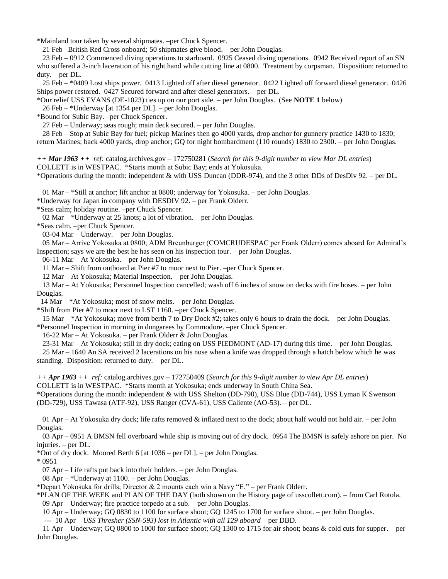\*Mainland tour taken by several shipmates. –per Chuck Spencer.

21 Feb –British Red Cross onboard; 50 shipmates give blood. – per John Douglas.

 23 Feb – 0912 Commenced diving operations to starboard. 0925 Ceased diving operations. 0942 Received report of an SN who suffered a 3-inch laceration of his right hand while cutting line at 0800. Treatment by corpsman. Disposition: returned to duty. – per DL.

 25 Feb – \*0409 Lost ships power. 0413 Lighted off after diesel generator. 0422 Lighted off forward diesel generator. 0426 Ships power restored. 0427 Secured forward and after diesel generators. – per DL.

\*Our relief USS EVANS (DE-1023) ties up on our port side. – per John Douglas. (See **NOTE 1** below)

26 Feb – \*Underway [at 1354 per DL]. – per John Douglas.

\*Bound for Subic Bay. –per Chuck Spencer.

27 Feb – Underway; seas rough; main deck secured. – per John Douglas.

 28 Feb – Stop at Subic Bay for fuel; pickup Marines then go 4000 yards, drop anchor for gunnery practice 1430 to 1830; return Marines; back 4000 yards, drop anchor; GQ for night bombardment (110 rounds) 1830 to 2300. – per John Douglas.

*++ Mar 1963 ++ ref:* catalog.archives.gov – 172750281 (*Search for this 9-digit number to view Mar DL entries*) COLLETT is in WESTPAC. \*Starts month at Subic Bay; ends at Yokosuka.

\*Operations during the month: independent & with USS Duncan (DDR-974), and the 3 other DDs of DesDiv 92. – per DL.

01 Mar – \*Still at anchor; lift anchor at 0800; underway for Yokosuka. – per John Douglas.

\*Underway for Japan in company with DESDIV 92. – per Frank Olderr.

\*Seas calm; holiday routine. –per Chuck Spencer.

02 Mar – \*Underway at 25 knots; a lot of vibration. – per John Douglas.

\*Seas calm. –per Chuck Spencer.

03-04 Mar – Underway. – per John Douglas.

 05 Mar – Arrive Yokosuka at 0800; ADM Breunburger (COMCRUDESPAC per Frank Olderr) comes aboard for Admiral's Inspection; says we are the best he has seen on his inspection tour. – per John Douglas.

06-11 Mar – At Yokosuka. – per John Douglas.

11 Mar – Shift from outboard at Pier #7 to moor next to Pier. –per Chuck Spencer.

12 Mar – At Yokosuka; Material Inspection. – per John Douglas.

 13 Mar – At Yokosuka; Personnel Inspection cancelled; wash off 6 inches of snow on decks with fire hoses. – per John Douglas.

14 Mar – \*At Yokosuka; most of snow melts. – per John Douglas.

\*Shift from Pier #7 to moor next to LST 1160. –per Chuck Spencer.

 15 Mar – \*At Yokosuka; move from berth 7 to Dry Dock #2; takes only 6 hours to drain the dock. – per John Douglas. \*Personnel Inspection in morning in dungarees by Commodore. –per Chuck Spencer.

16-22 Mar – At Yokosuka. – per Frank Olderr & John Douglas.

23-31 Mar – At Yokosuka; still in dry dock; eating on USS PIEDMONT (AD-17) during this time. – per John Douglas.

 25 Mar – 1640 An SA received 2 lacerations on his nose when a knife was dropped through a hatch below which he was standing. Disposition: returned to duty. – per DL.

*++ Apr 1963 ++ ref:* catalog.archives.gov – 172750409 (*Search for this 9-digit number to view Apr DL entries*) COLLETT is in WESTPAC. \*Starts month at Yokosuka; ends underway in South China Sea.

\*Operations during the month: independent & with USS Shelton (DD-790), USS Blue (DD-744), USS Lyman K Swenson (DD-729), USS Tawasa (ATF-92), USS Ranger (CVA-61), USS Caliente (AO-53). – per DL.

01 Apr – At Yokosuka dry dock; life rafts removed & inflated next to the dock; about half would not hold air. – per John Douglas.

 03 Apr – 0951 A BMSN fell overboard while ship is moving out of dry dock. 0954 The BMSN is safely ashore on pier. No injuries. – per DL.

\*Out of dry dock. Moored Berth 6 [at 1036 – per DL]. – per John Douglas.

\* 0951

07 Apr – Life rafts put back into their holders. – per John Douglas.

08 Apr – \*Underway at 1100. – per John Douglas.

\*Depart Yokosuka for drills; Director & 2 mounts each win a Navy "E." – per Frank Olderr.

\*PLAN OF THE WEEK and PLAN OF THE DAY (both shown on the History page of usscollett.com). – from Carl Rotola. 09 Apr – Underway; fire practice torpedo at a sub. – per John Douglas.

10 Apr – Underway; GQ 0830 to 1100 for surface shoot; GQ 1245 to 1700 for surface shoot. – per John Douglas.

--- 10 Apr – *USS Thresher (SSN-593) lost in Atlantic with all 129 aboard* – per DBD.

 11 Apr – Underway; GQ 0800 to 1000 for surface shoot; GQ 1300 to 1715 for air shoot; beans & cold cuts for supper. – per John Douglas.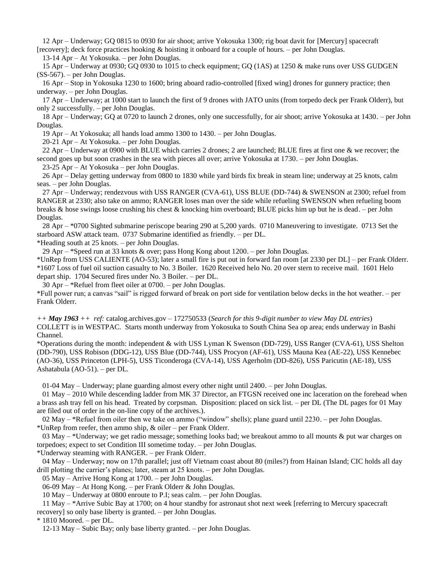12 Apr – Underway; GQ 0815 to 0930 for air shoot; arrive Yokosuka 1300; rig boat davit for [Mercury] spacecraft [recovery]; deck force practices hooking & hoisting it onboard for a couple of hours. – per John Douglas.

13-14 Apr – At Yokosuka. – per John Douglas.

 15 Apr – Underway at 0930; GQ 0930 to 1015 to check equipment; GQ (1AS) at 1250 & make runs over USS GUDGEN (SS-567). – per John Douglas.

 16 Apr – Stop in Yokosuka 1230 to 1600; bring aboard radio-controlled [fixed wing] drones for gunnery practice; then underway. – per John Douglas.

 17 Apr – Underway; at 1000 start to launch the first of 9 drones with JATO units (from torpedo deck per Frank Olderr), but only 2 successfully. – per John Douglas.

 18 Apr – Underway; GQ at 0720 to launch 2 drones, only one successfully, for air shoot; arrive Yokosuka at 1430. – per John Douglas.

19 Apr – At Yokosuka; all hands load ammo 1300 to 1430. – per John Douglas.

20-21 Apr – At Yokosuka. – per John Douglas.

 22 Apr – Underway at 0900 with BLUE which carries 2 drones; 2 are launched; BLUE fires at first one & we recover; the second goes up but soon crashes in the sea with pieces all over; arrive Yokosuka at 1730. – per John Douglas.

23-25 Apr – At Yokosuka – per John Douglas.

 26 Apr – Delay getting underway from 0800 to 1830 while yard birds fix break in steam line; underway at 25 knots, calm seas. – per John Douglas.

 27 Apr – Underway; rendezvous with USS RANGER (CVA-61), USS BLUE (DD-744) & SWENSON at 2300; refuel from RANGER at 2330; also take on ammo; RANGER loses man over the side while refueling SWENSON when refueling boom breaks & hose swings loose crushing his chest & knocking him overboard; BLUE picks him up but he is dead. – per John Douglas.

 28 Apr – \*0700 Sighted submarine periscope bearing 290 at 5,200 yards. 0710 Maneuvering to investigate. 0713 Set the starboard ASW attack team. 0737 Submarine identified as friendly. – per DL.

\*Heading south at 25 knots. – per John Douglas.

29 Apr – \*Speed run at 33 knots & over; pass Hong Kong about 1200. – per John Douglas.

\*UnRep from USS CALIENTE (AO-53); later a small fire is put out in forward fan room [at 2330 per DL] – per Frank Olderr. \*1607 Loss of fuel oil suction casualty to No. 3 Boiler. 1620 Received helo No. 20 over stern to receive mail. 1601 Helo depart ship. 1704 Secured fires under No. 3 Boiler. – per DL.

30 Apr – \*Refuel from fleet oiler at 0700. – per John Douglas.

\*Full power run; a canvas "sail" is rigged forward of break on port side for ventilation below decks in the hot weather. – per Frank Olderr.

*++ May 1963 ++ ref:* catalog.archives.gov – 172750533 (*Search for this 9-digit number to view May DL entries*) COLLETT is in WESTPAC. Starts month underway from Yokosuka to South China Sea op area; ends underway in Bashi Channel.

\*Operations during the month: independent & with USS Lyman K Swenson (DD-729), USS Ranger (CVA-61), USS Shelton (DD-790), USS Robison (DDG-12), USS Blue (DD-744), USS Procyon (AF-61), USS Mauna Kea (AE-22), USS Kennebec (AO-36), USS Princeton (LPH-5), USS Ticonderoga (CVA-14), USS Agerholm (DD-826), USS Paricutin (AE-18), USS Ashatabula (AO-51). – per DL.

01-04 May – Underway; plane guarding almost every other night until 2400. – per John Douglas.

 01 May – 2010 While descending ladder from MK 37 Director, an FTGSN received one inc laceration on the forehead when a brass ash tray fell on his head. Treated by corpsman. Disposition: placed on sick list. – per DL (The DL pages for 01 May are filed out of order in the on-line copy of the archives.).

 02 May – \*Refuel from oiler then we take on ammo ("window" shells); plane guard until 2230. – per John Douglas. \*UnRep from reefer, then ammo ship, & oiler – per Frank Olderr.

03 May – \*Underway; we get radio message; something looks bad; we breakout ammo to all mounts  $\&$  put war charges on torpedoes; expect to set Condition III sometime today. – per John Douglas.

\*Underway steaming with RANGER. – per Frank Olderr.

 04 May – Underway; now on 17th parallel; just off Vietnam coast about 80 (miles?) from Hainan Island; CIC holds all day drill plotting the carrier's planes; later, steam at 25 knots. – per John Douglas.

05 May – Arrive Hong Kong at 1700. – per John Douglas.

06-09 May – At Hong Kong. – per Frank Olderr & John Douglas.

10 May – Underway at 0800 enroute to P.I; seas calm. – per John Douglas.

 11 May – \*Arrive Subic Bay at 1700; on 4 hour standby for astronaut shot next week [referring to Mercury spacecraft recovery] so only base liberty is granted. – per John Douglas.

 $*$  1810 Moored. – per DL.

12-13 May – Subic Bay; only base liberty granted. – per John Douglas.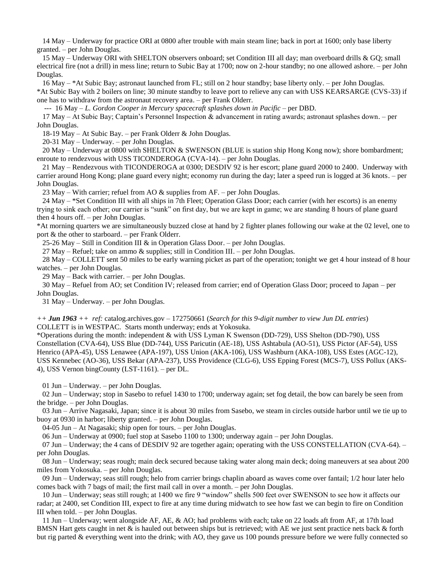14 May – Underway for practice ORI at 0800 after trouble with main steam line; back in port at 1600; only base liberty granted. – per John Douglas.

 15 May – Underway ORI with SHELTON observers onboard; set Condition III all day; man overboard drills & GQ; small electrical fire (not a drill) in mess line; return to Subic Bay at 1700; now on 2-hour standby; no one allowed ashore. – per John Douglas.

 16 May – \*At Subic Bay; astronaut launched from FL; still on 2 hour standby; base liberty only. – per John Douglas. \*At Subic Bay with 2 boilers on line; 30 minute standby to leave port to relieve any can with USS KEARSARGE (CVS-33) if one has to withdraw from the astronaut recovery area. – per Frank Olderr.

--- 16 May – *L. Gordon Cooper in Mercury spacecraft splashes down in Pacific* – per DBD.

 17 May – At Subic Bay; Captain's Personnel Inspection & advancement in rating awards; astronaut splashes down. – per John Douglas.

18-19 May – At Subic Bay. – per Frank Olderr & John Douglas.

20-31 May – Underway. – per John Douglas.

 20 May – Underway at 0800 with SHELTON & SWENSON (BLUE is station ship Hong Kong now); shore bombardment; enroute to rendezvous with USS TICONDEROGA (CVA-14). – per John Douglas.

 21 May – Rendezvous with TICONDEROGA at 0300; DESDIV 92 is her escort; plane guard 2000 to 2400. Underway with carrier around Hong Kong; plane guard every night; economy run during the day; later a speed run is logged at 36 knots. – per John Douglas.

23 May – With carrier; refuel from AO & supplies from AF. – per John Douglas.

 24 May – \*Set Condition III with all ships in 7th Fleet; Operation Glass Door; each carrier (with her escorts) is an enemy trying to sink each other; our carrier is "sunk" on first day, but we are kept in game; we are standing 8 hours of plane guard then 4 hours off. – per John Douglas.

\*At morning quarters we are simultaneously buzzed close at hand by 2 fighter planes following our wake at the 02 level, one to port & the other to starboard. – per Frank Olderr.

25-26 May – Still in Condition III & in Operation Glass Door. – per John Douglas.

27 May – Refuel; take on ammo & supplies; still in Condition III. – per John Douglas.

 28 May – COLLETT sent 50 miles to be early warning picket as part of the operation; tonight we get 4 hour instead of 8 hour watches. – per John Douglas.

29 May – Back with carrier. – per John Douglas.

 30 May – Refuel from AO; set Condition IV; released from carrier; end of Operation Glass Door; proceed to Japan – per John Douglas.

31 May – Underway. – per John Douglas.

*++ Jun 1963 ++ ref:* catalog.archives.gov – 172750661 (*Search for this 9-digit number to view Jun DL entries*) COLLETT is in WESTPAC. Starts month underway; ends at Yokosuka.

\*Operations during the month: independent & with USS Lyman K Swenson (DD-729), USS Shelton (DD-790), USS Constellation (CVA-64), USS Blue (DD-744), USS Paricutin (AE-18), USS Ashtabula (AO-51), USS Pictor (AF-54), USS Henrico (APA-45), USS Lenawee (APA-197), USS Union (AKA-106), USS Washburn (AKA-108), USS Estes (AGC-12), USS Kennebec (AO-36), USS Bekar (APA-237), USS Providence (CLG-6), USS Epping Forest (MCS-7), USS Pollux (AKS-4), USS Vernon bingCounty (LST-1161). – per DL.

01 Jun – Underway. – per John Douglas.

 02 Jun – Underway; stop in Sasebo to refuel 1430 to 1700; underway again; set fog detail, the bow can barely be seen from the bridge. – per John Douglas.

 03 Jun – Arrive Nagasaki, Japan; since it is about 30 miles from Sasebo, we steam in circles outside harbor until we tie up to buoy at 0930 in harbor; liberty granted. – per John Douglas.

04-05 Jun – At Nagasaki; ship open for tours. – per John Douglas.

06 Jun – Underway at 0900; fuel stop at Sasebo 1100 to 1300; underway again – per John Douglas.

07 Jun – Underway; the 4 cans of DESDIV 92 are together again; operating with the USS CONSTELLATION (CVA-64). – per John Douglas.

 08 Jun – Underway; seas rough; main deck secured because taking water along main deck; doing maneuvers at sea about 200 miles from Yokosuka. – per John Douglas.

 09 Jun – Underway; seas still rough; helo from carrier brings chaplin aboard as waves come over fantail; 1/2 hour later helo comes back with 7 bags of mail; the first mail call in over a month. – per John Douglas.

 10 Jun – Underway; seas still rough; at 1400 we fire 9 "window" shells 500 feet over SWENSON to see how it affects our radar; at 2400, set Condition III, expect to fire at any time during midwatch to see how fast we can begin to fire on Condition III when told. – per John Douglas.

 11 Jun – Underway; went alongside AF, AE, & AO; had problems with each; take on 22 loads aft from AF, at 17th load BMSN Hart gets caught in net & is hauled out between ships but is retrieved; with AE we just sent practice nets back & forth but rig parted & everything went into the drink; with AO, they gave us 100 pounds pressure before we were fully connected so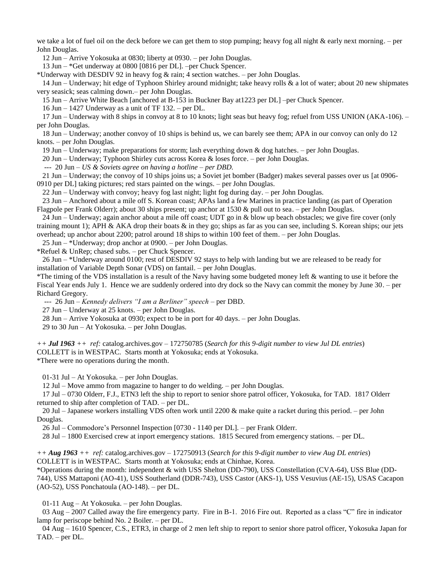we take a lot of fuel oil on the deck before we can get them to stop pumping; heavy fog all night  $\&$  early next morning. – per John Douglas.

12 Jun – Arrive Yokosuka at 0830; liberty at 0930. – per John Douglas.

13 Jun – \*Get underway at 0800 [0816 per DL]. –per Chuck Spencer.

\*Underway with DESDIV 92 in heavy fog & rain; 4 section watches. – per John Douglas.

 14 Jun – Underway; hit edge of Typhoon Shirley around midnight; take heavy rolls & a lot of water; about 20 new shipmates very seasick; seas calming down.– per John Douglas.

15 Jun – Arrive White Beach [anchored at B-153 in Buckner Bay at1223 per DL] –per Chuck Spencer.

16 Jun – 1427 Underway as a unit of TF 132. – per DL.

 17 Jun – Underway with 8 ships in convoy at 8 to 10 knots; light seas but heavy fog; refuel from USS UNION (AKA-106). – per John Douglas.

 18 Jun – Underway; another convoy of 10 ships is behind us, we can barely see them; APA in our convoy can only do 12 knots. – per John Douglas.

19 Jun – Underway; make preparations for storm; lash everything down & dog hatches. – per John Douglas.

20 Jun – Underway; Typhoon Shirley cuts across Korea & loses force. – per John Douglas.

--- 20 Jun – *US & Soviets agree on having a hotline – per DBD.*

 21 Jun – Underway; the convoy of 10 ships joins us; a Soviet jet bomber (Badger) makes several passes over us [at 0906- 0910 per DL] taking pictures; red stars painted on the wings. – per John Douglas.

22 Jun – Underway with convoy; heavy fog last night; light fog during day. – per John Douglas.

 23 Jun – Anchored about a mile off S. Korean coast; APAs land a few Marines in practice landing (as part of Operation Flagpole per Frank Olderr); about 30 ships present; up anchor at 1530 & pull out to sea. – per John Douglas.

 24 Jun – Underway; again anchor about a mile off coast; UDT go in & blow up beach obstacles; we give fire cover (only training mount 1); APH & AKA drop their boats  $\&$  in they go; ships as far as you can see, including S. Korean ships; our jets overhead; up anchor about 2200; patrol around 18 ships to within 100 feet of them. – per John Douglas.

25 Jun – \*Underway; drop anchor at 0900. – per John Douglas.

\*Refuel & UnRep; chased subs. – per Chuck Spencer.

 26 Jun – \*Underway around 0100; rest of DESDIV 92 stays to help with landing but we are released to be ready for installation of Variable Depth Sonar (VDS) on fantail. – per John Douglas.

\*The timing of the VDS installation is a result of the Navy having some budgeted money left & wanting to use it before the Fiscal Year ends July 1. Hence we are suddenly ordered into dry dock so the Navy can commit the money by June 30. – per Richard Gregory.

--- 26 Jun – *Kennedy delivers "I am a Berliner" speech* – per DBD.

27 Jun – Underway at 25 knots. – per John Douglas.

28 Jun – Arrive Yokosuka at 0930; expect to be in port for 40 days. – per John Douglas.

29 to 30 Jun – At Yokosuka. – per John Douglas.

*++ Jul 1963 ++ ref:* catalog.archives.gov – 172750785 (*Search for this 9-digit number to view Jul DL entries*) COLLETT is in WESTPAC. Starts month at Yokosuka; ends at Yokosuka. \*There were no operations during the month.

01-31 Jul – At Yokosuka. – per John Douglas.

12 Jul – Move ammo from magazine to hanger to do welding. – per John Douglas.

 17 Jul – 0730 Olderr, F.J., ETN3 left the ship to report to senior shore patrol officer, Yokosuka, for TAD. 1817 Olderr returned to ship after completion of TAD. – per DL.

20 Jul – Japanese workers installing VDS often work until 2200  $\&$  make quite a racket during this period. – per John Douglas.

26 Jul – Commodore's Personnel Inspection [0730 - 1140 per DL]. – per Frank Olderr.

28 Jul – 1800 Exercised crew at inport emergency stations. 1815 Secured from emergency stations. – per DL.

*++ Aug 1963 ++ ref:* catalog.archives.gov – 172750913 (*Search for this 9-digit number to view Aug DL entries*) COLLETT is in WESTPAC. Starts month at Yokosuka; ends at Chinhae, Korea.

\*Operations during the month: independent & with USS Shelton (DD-790), USS Constellation (CVA-64), USS Blue (DD-744), USS Mattaponi (AO-41), USS Southerland (DDR-743), USS Castor (AKS-1), USS Vesuvius (AE-15), USAS Cacapon (AO-52), USS Ponchatoula (AO-148). – per DL.

01-11 Aug – At Yokosuka. – per John Douglas.

 03 Aug – 2007 Called away the fire emergency party. Fire in B-1. 2016 Fire out. Reported as a class "C" fire in indicator lamp for periscope behind No. 2 Boiler. – per DL.

 04 Aug – 1610 Spencer, C.S., ETR3, in charge of 2 men left ship to report to senior shore patrol officer, Yokosuka Japan for TAD. – per DL.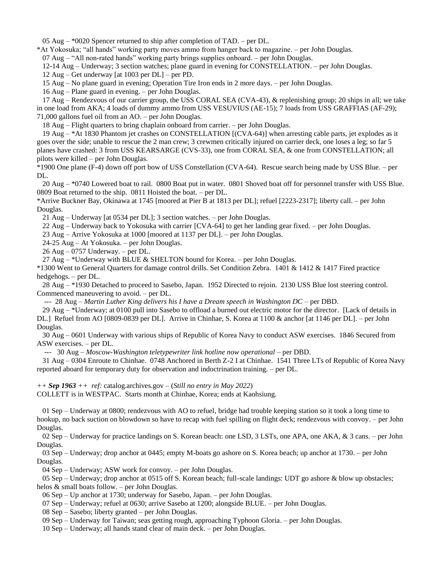05 Aug – \*0020 Spencer returned to ship after completion of TAD. – per DL.

\*At Yokosuka; "all hands" working party moves ammo from hanger back to magazine. – per John Douglas.

07 Aug – "All non-rated hands" working party brings supplies onboard. – per John Douglas.

12-14 Aug – Underway; 3 section watches; plane guard in evening for CONSTELLATION. – per John Douglas.

12 Aug – Get underway [at 1003 per DL] – per PD.

15 Aug – No plane guard in evening; Operation Tire Iron ends in 2 more days. – per John Douglas.

16 Aug – Plane guard in evening. – per John Douglas.

 17 Aug – Rendezvous of our carrier group, the USS CORAL SEA (CVA-43), & replenishing group; 20 ships in all; we take in one load from AKA; 4 loads of dummy ammo from USS VESUVIUS (AE-15); 7 loads from USS GRAFFIAS (AF-29); 71,000 gallons fuel oil from an AO. – per John Douglas.

18 Aug – Flight quarters to bring chaplain onboard from carrier. – per John Douglas.

 19 Aug – \*At 1830 Phantom jet crashes on CONSTELLATION [(CVA-64)] when arresting cable parts, jet explodes as it goes over the side; unable to rescue the 2 man crew; 3 crewmen critically injured on carrier deck, one loses a leg; so far 5 planes have crashed: 3 from USS KEARSARGE (CVS-33), one from CORAL SEA, & one from CONSTELLATION; all pilots were killed – per John Douglas.

\*1900 One plane (F-4) down off port bow of USS Constellation (CVA-64). Rescue search being made by USS Blue. – per DL.

 20 Aug – \*0740 Lowered boat to rail. 0800 Boat put in water. 0801 Shoved boat off for personnel transfer with USS Blue. 0809 Boat returned to the ship. 0811 Hoisted the boat. – per DL.

\*Arrive Buckner Bay, Okinawa at 1745 [moored at Pier B at 1813 per DL]; refuel [2223-2317]; liberty call. – per John Douglas.

21 Aug – Underway [at 0534 per DL]; 3 section watches. – per John Douglas.

22 Aug – Underway back to Yokosuka with carrier [CVA-64] to get her landing gear fixed. – per John Douglas.

23 Aug – Arrive Yokosuka at 1000 [moored at 1137 per DL]. – per John Douglas.

24-25 Aug – At Yokosuka. – per John Douglas.

26 Aug – 0757 Underway. – per DL.

27 Aug – \*Underway with BLUE & SHELTON bound for Korea. – per John Douglas.

\*1300 Went to General Quarters for damage control drills. Set Condition Zebra. 1401 & 1412 & 1417 Fired practice hedgehogs. – per DL.

 28 Aug – \*1930 Detached to proceed to Sasebo, Japan. 1952 Directed to rejoin. 2130 USS Blue lost steering control. Commenced maneuvering to avoid. – per DL.

--- 28 Aug – *Martin Luther King delivers his I have a Dream speech in Washington DC* – per DBD.

 29 Aug – \*Underway; at 0100 pull into Sasebo to offload a burned out electric motor for the director. [Lack of details in DL.] Refuel from AO [0809-0839 per DL]. Arrive in Chinhae, S. Korea at 1100 & anchor [at 1146 per DL]. – per John Douglas.

 30 Aug – 0601 Underway with various ships of Republic of Korea Navy to conduct ASW exercises. 1846 Secured from ASW exercises. – per DL.

--- 30 Aug – *Moscow-Washington teletypewriter link hotline now operational* – per DBD.

 31 Aug – 0304 Enroute to Chinhae. 0748 Anchored in Berth Z-2 I at Chinhae. 1541 Three LTs of Republic of Korea Navy reported aboard for temporary duty for observation and indoctrination training. – per DL.

*++ Sep 1963 ++ ref:* catalog.archives.gov – (*Still no entry in May 2022*)

COLLETT is in WESTPAC. Starts month at Chinhae, Korea; ends at Kaohsiung.

 01 Sep – Underway at 0800; rendezvous with AO to refuel, bridge had trouble keeping station so it took a long time to hookup, no back suction on blowdown so have to recap with fuel spilling on flight deck; rendezvous with convoy. – per John Douglas.

 02 Sep – Underway for practice landings on S. Korean beach: one LSD, 3 LSTs, one APA, one AKA, & 3 cans. – per John Douglas.

 03 Sep – Underway; drop anchor at 0445; empty M-boats go ashore on S. Korea beach; up anchor at 1730. – per John Douglas.

04 Sep – Underway; ASW work for convoy. – per John Douglas.

 05 Sep – Underway; drop anchor at 0515 off S. Korean beach; full-scale landings: UDT go ashore & blow up obstacles; helos & small boats follow. – per John Douglas.

06 Sep – Up anchor at 1730; underway for Sasebo, Japan. – per John Douglas.

07 Sep – Underway; refuel at 0630; arrive Sasebo at 1200; alongside BLUE. – per John Douglas.

08 Sep – Sasebo; liberty granted – per John Douglas.

09 Sep – Underway for Taiwan; seas getting rough, approaching Typhoon Gloria. – per John Douglas.

10 Sep – Underway; all hands stand clear of main deck. – per John Douglas.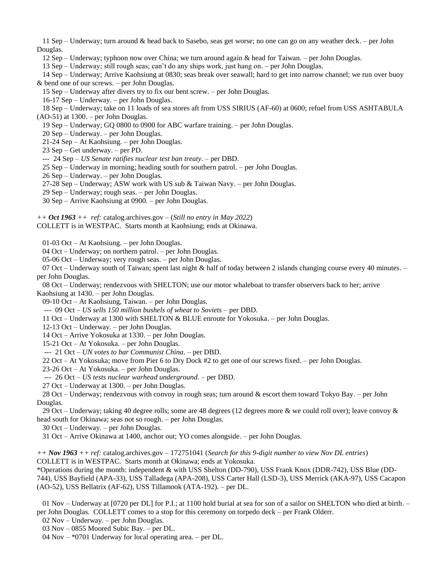11 Sep – Underway; turn around & head back to Sasebo, seas get worse; no one can go on any weather deck. – per John Douglas.

12 Sep – Underway; typhoon now over China; we turn around again & head for Taiwan. – per John Douglas.

13 Sep – Underway; still rough seas; can't do any ships work, just hang on. – per John Douglas.

 14 Sep – Underway; Arrive Kaohsiung at 0830; seas break over seawall; hard to get into narrow channel; we run over buoy & bend one of our screws. – per John Douglas.

15 Sep – Underway after divers try to fix our bent screw. – per John Douglas.

16-17 Sep – Underway. – per John Douglas.

 18 Sep – Underway; take on 11 loads of sea stores aft from USS SIRIUS (AF-60) at 0600; refuel from USS ASHTABULA (AO-51) at 1300. – per John Douglas.

19 Sep – Underway; GQ 0800 to 0900 for ABC warfare training. – per John Douglas.

20 Sep – Underway. – per John Douglas.

21-24 Sep – At Kaohsiung. – per John Douglas.

23 Sep – Get underway. – per PD.

--- 24 Sep – *US Senate ratifies nuclear test ban treaty.* – per DBD.

25 Sep – Underway in morning; heading south for southern patrol. – per John Douglas.

26 Sep – Underway. – per John Douglas.

27-28 Sep – Underway; ASW work with US sub & Taiwan Navy. – per John Douglas.

29 Sep – Underway; rough seas. – per John Douglas.

30 Sep – Arrive Kaohsiung at 0900. – per John Douglas.

*++ Oct 1963 ++ ref:* catalog.archives.gov – (*Still no entry in May 2022*)

COLLETT is in WESTPAC. Starts month at Kaohsiung; ends at Okinawa.

01-03 Oct – At Kaohsiung. – per John Douglas.

04 Oct – Underway; on northern patrol. – per John Douglas.

05-06 Oct – Underway; very rough seas. – per John Douglas.

07 Oct – Underway south of Taiwan; spent last night  $\&$  half of today between 2 islands changing course every 40 minutes. – per John Douglas.

 08 Oct – Underway; rendezvous with SHELTON; use our motor whaleboat to transfer observers back to her; arrive Kaohsiung at 1430. – per John Douglas.

09-10 Oct – At Kaohsiung, Taiwan. – per John Douglas.

--- 09 Oct – *US sells 150 million bushels of wheat to Soviets* – per DBD.

11 Oct – Underway at 1300 with SHELTON & BLUE enroute for Yokosuka. – per John Douglas.

12-13 Oct – Underway. – per John Douglas.

14 Oct – Arrive Yokosuka at 1330. – per John Douglas.

15-21 Oct – At Yokosuka. – per John Douglas.

--- 21 Oct – *UN votes to bar Communist China.* – per DBD.

22 Oct – At Yokosuka; move from Pier 6 to Dry Dock #2 to get one of our screws fixed. – per John Douglas.

23-26 Oct – At Yokosuka. – per John Douglas.

--- 26 Oct – *US tests nuclear warhead underground.* – per DBD.

27 Oct – Underway at 1300. – per John Douglas.

28 Oct – Underway; rendezvous with convoy in rough seas; turn around  $\&$  escort them toward Tokyo Bay. – per John Douglas.

29 Oct – Underway; taking 40 degree rolls; some are 48 degrees (12 degrees more  $\&$  we could roll over); leave convoy  $\&$ head south for Okinawa; seas not so rough. – per John Douglas.

30 Oct – Underway. – per John Douglas.

31 Oct – Arrive Okinawa at 1400, anchor out; YO comes alongside. – per John Douglas.

*++ Nov 1963 ++ ref:* catalog.archives.gov – 172751041 (*Search for this 9-digit number to view Nov DL entries*) COLLETT is in WESTPAC. Starts month at Okinawa; ends at Yokosuka.

\*Operations during the month: independent & with USS Shelton (DD-790), USS Frank Knox (DDR-742), USS Blue (DD-744), USS Bayfield (APA-33), USS Talladega (APA-208), USS Carter Hall (LSD-3), USS Merrick (AKA-97), USS Cacapon (AO-52), USS Bellatrix (AF-62), USS Tillamook (ATA-192). – per DL.

 01 Nov – Underway at [0720 per DL] for P.I.; at 1100 hold burial at sea for son of a sailor on SHELTON who died at birth. – per John Douglas. COLLETT comes to a stop for this ceremony on torpedo deck – per Frank Olderr.

02 Nov – Underway. – per John Douglas.

03 Nov – 0855 Moored Subic Bay. – per DL.

04 Nov – \*0701 Underway for local operating area. – per DL.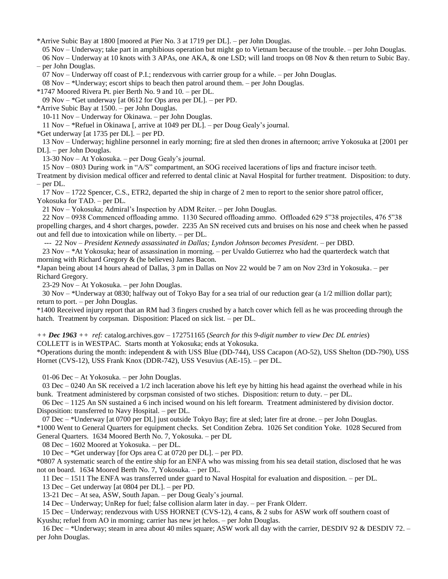\*Arrive Subic Bay at 1800 [moored at Pier No. 3 at 1719 per DL]. – per John Douglas.

 05 Nov – Underway; take part in amphibious operation but might go to Vietnam because of the trouble. – per John Douglas. 06 Nov – Underway at 10 knots with 3 APAs, one AKA, & one LSD; will land troops on 08 Nov & then return to Subic Bay. – per John Douglas.

07 Nov – Underway off coast of P.I.; rendezvous with carrier group for a while. – per John Douglas.

08 Nov – \*Underway; escort ships to beach then patrol around them. – per John Douglas.

\*1747 Moored Rivera Pt. pier Berth No. 9 and 10. – per DL.

09 Nov – \*Get underway [at 0612 for Ops area per DL]. – per PD.

\*Arrive Subic Bay at 1500. – per John Douglas.

10-11 Nov – Underway for Okinawa. – per John Douglas.

11 Nov – \*Refuel in Okinawa [, arrive at 1049 per DL]. – per Doug Gealy's journal.

\*Get underway [at 1735 per DL]. – per PD.

 13 Nov – Underway; highline personnel in early morning; fire at sled then drones in afternoon; arrive Yokosuka at [2001 per DL]. – per John Douglas.

13-30 Nov – At Yokosuka. – per Doug Gealy's journal.

15 Nov – 0803 During work in "A/S" compartment, an SOG received lacerations of lips and fracture incisor teeth.

Treatment by division medical officer and referred to dental clinic at Naval Hospital for further treatment. Disposition: to duty. – per DL.

 17 Nov – 1722 Spencer, C.S., ETR2, departed the ship in charge of 2 men to report to the senior shore patrol officer, Yokosuka for TAD. – per DL.

21 Nov – Yokosuka; Admiral's Inspection by ADM Reiter. – per John Douglas.

 22 Nov – 0938 Commenced offloading ammo. 1130 Secured offloading ammo. Offloaded 629 5"38 projectiles, 476 5"38 propelling charges, and 4 short charges, powder. 2235 An SN received cuts and bruises on his nose and cheek when he passed out and fell due to intoxication while on liberty. – per DL.

--- 22 Nov – *President Kennedy assassinated in Dallas; Lyndon Johnson becomes President.* – per DBD.

 23 Nov – \*At Yokosuka; hear of assassination in morning. – per Uvaldo Gutierrez who had the quarterdeck watch that morning with Richard Gregory & (he believes) James Bacon.

\*Japan being about 14 hours ahead of Dallas, 3 pm in Dallas on Nov 22 would be 7 am on Nov 23rd in Yokosuka. – per Richard Gregory.

23-29 Nov – At Yokosuka. – per John Douglas.

 30 Nov – \*Underway at 0830; halfway out of Tokyo Bay for a sea trial of our reduction gear (a 1/2 million dollar part); return to port. – per John Douglas.

\*1400 Received injury report that an RM had 3 fingers crushed by a hatch cover which fell as he was proceeding through the hatch. Treatment by corpsman. Disposition: Placed on sick list. – per DL.

*++ Dec 1963 ++ ref:* catalog.archives.gov – 172751165 (*Search for this 9-digit number to view Dec DL entries*) COLLETT is in WESTPAC. Starts month at Yokosuka; ends at Yokosuka.

\*Operations during the month: independent & with USS Blue (DD-744), USS Cacapon (AO-52), USS Shelton (DD-790), USS Hornet (CVS-12), USS Frank Knox (DDR-742), USS Vesuvius (AE-15). – per DL.

01-06 Dec – At Yokosuka. – per John Douglas.

 03 Dec – 0240 An SK received a 1/2 inch laceration above his left eye by hitting his head against the overhead while in his bunk. Treatment administered by corpsman consisted of two stiches. Disposition: return to duty. – per DL.

 06 Dec – 1125 An SN sustained a 6 inch incised wound on his left forearm. Treatment administered by division doctor. Disposition: transferred to Navy Hospital. – per DL.

07 Dec – \*Underway [at 0700 per DL] just outside Tokyo Bay; fire at sled; later fire at drone. – per John Douglas.

\*1000 Went to General Quarters for equipment checks. Set Condition Zebra. 1026 Set condition Yoke. 1028 Secured from General Quarters. 1634 Moored Berth No. 7, Yokosuka. – per DL

08 Dec – 1602 Moored at Yokosuka. – per DL.

10 Dec – \*Get underway [for Ops area C at 0720 per DL]. – per PD.

\*0807 A systematic search of the entire ship for an ENFA who was missing from his sea detail station, disclosed that he was not on board. 1634 Moored Berth No. 7, Yokosuka. – per DL.

11 Dec – 1511 The ENFA was transferred under guard to Naval Hospital for evaluation and disposition. – per DL.

13 Dec – Get underway [at 0804 per DL]. – per PD.

13-21 Dec – At sea, ASW, South Japan. – per Doug Gealy's journal.

14 Dec – Underway; UnRep for fuel; false collision alarm later in day. – per Frank Olderr.

 15 Dec – Underway; rendezvous with USS HORNET (CVS-12), 4 cans, & 2 subs for ASW work off southern coast of Kyushu; refuel from AO in morning; carrier has new jet helos. – per John Douglas.

 16 Dec – \*Underway; steam in area about 40 miles square; ASW work all day with the carrier, DESDIV 92 & DESDIV 72. – per John Douglas.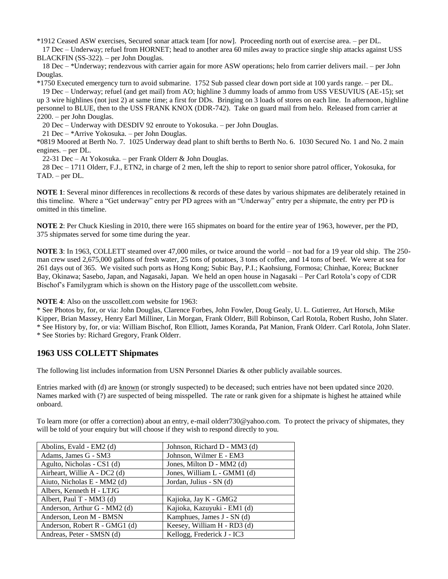\*1912 Ceased ASW exercises, Secured sonar attack team [for now]. Proceeding north out of exercise area. – per DL.

 17 Dec – Underway; refuel from HORNET; head to another area 60 miles away to practice single ship attacks against USS BLACKFIN (SS-322). – per John Douglas.

 18 Dec – \*Underway; rendezvous with carrier again for more ASW operations; helo from carrier delivers mail. – per John Douglas.

\*1750 Executed emergency turn to avoid submarine. 1752 Sub passed clear down port side at 100 yards range. – per DL.

 19 Dec – Underway; refuel (and get mail) from AO; highline 3 dummy loads of ammo from USS VESUVIUS (AE-15); set up 3 wire highlines (not just 2) at same time; a first for DDs. Bringing on 3 loads of stores on each line. In afternoon, highline personnel to BLUE, then to the USS FRANK KNOX (DDR-742). Take on guard mail from helo. Released from carrier at 2200. – per John Douglas.

20 Dec – Underway with DESDIV 92 enroute to Yokosuka. – per John Douglas.

21 Dec – \*Arrive Yokosuka. – per John Douglas.

\*0819 Moored at Berth No. 7. 1025 Underway dead plant to shift berths to Berth No. 6. 1030 Secured No. 1 and No. 2 main engines. – per DL.

22-31 Dec – At Yokosuka. – per Frank Olderr & John Douglas.

 28 Dec – 1711 Olderr, F.J., ETN2, in charge of 2 men, left the ship to report to senior shore patrol officer, Yokosuka, for TAD. – per DL.

**NOTE 1**: Several minor differences in recollections & records of these dates by various shipmates are deliberately retained in this timeline. Where a "Get underway" entry per PD agrees with an "Underway" entry per a shipmate, the entry per PD is omitted in this timeline.

**NOTE 2**: Per Chuck Kiesling in 2010, there were 165 shipmates on board for the entire year of 1963, however, per the PD, 375 shipmates served for some time during the year.

**NOTE 3**: In 1963, COLLETT steamed over 47,000 miles, or twice around the world – not bad for a 19 year old ship. The 250 man crew used 2,675,000 gallons of fresh water, 25 tons of potatoes, 3 tons of coffee, and 14 tons of beef. We were at sea for 261 days out of 365. We visited such ports as Hong Kong; Subic Bay, P.I.; Kaohsiung, Formosa; Chinhae, Korea; Buckner Bay, Okinawa; Sasebo, Japan, and Nagasaki, Japan. We held an open house in Nagasaki – Per Carl Rotola's copy of CDR Bischof's Familygram which is shown on the History page of the usscollett.com website.

**NOTE 4**: Also on the usscollett.com website for 1963:

\* See Photos by, for, or via: John Douglas, Clarence Forbes, John Fowler, Doug Gealy, U. L. Gutierrez, Art Horsch, Mike Kipper, Brian Massey, Henry Earl Milliner, Lin Morgan, Frank Olderr, Bill Robinson, Carl Rotola, Robert Rusho, John Slater. \* See History by, for, or via: William Bischof, Ron Elliott, James Koranda, Pat Manion, Frank Olderr. Carl Rotola, John Slater. \* See Stories by: Richard Gregory, Frank Olderr.

## **1963 USS COLLETT Shipmates**

The following list includes information from USN Personnel Diaries & other publicly available sources.

Entries marked with (d) are known (or strongly suspected) to be deceased; such entries have not been updated since 2020. Names marked with (?) are suspected of being misspelled. The rate or rank given for a shipmate is highest he attained while onboard.

To learn more (or offer a correction) about an entry, e-mail olderr730@yahoo.com. To protect the privacy of shipmates, they will be told of your enquiry but will choose if they wish to respond directly to you.

| Abolins, Evald - EM2 (d)      | Johnson, Richard D - MM3 (d) |
|-------------------------------|------------------------------|
| Adams, James G - SM3          | Johnson, Wilmer E - EM3      |
| Agulto, Nicholas - CS1 (d)    | Jones, Milton D - MM2 (d)    |
| Airheart, Willie A - DC2 (d)  | Jones, William L - GMM1 (d)  |
| Aiuto, Nicholas E - MM2 (d)   | Jordan, Julius - SN (d)      |
| Albers, Kenneth H - LTJG      |                              |
| Albert, Paul T - MM3 $(d)$    | Kajioka, Jay K - GMG2        |
| Anderson, Arthur G - MM2 (d)  | Kajioka, Kazuyuki - EM1 (d)  |
| Anderson, Leon M - BMSN       | Kamphues, James J - SN (d)   |
| Anderson, Robert R - GMG1 (d) | Keesey, William H - RD3 (d)  |
| Andreas, Peter - SMSN (d)     | Kellogg, Frederick J - IC3   |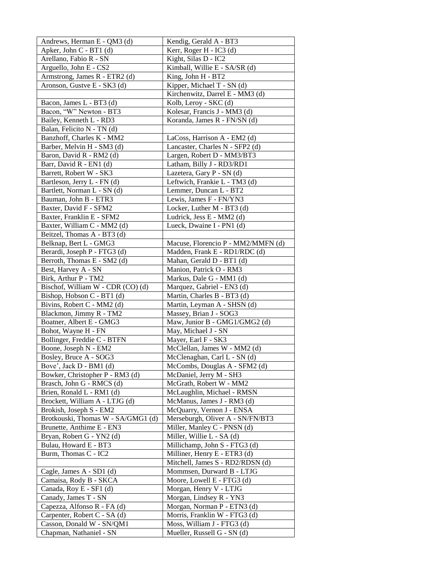| Andrews, Herman E - QM3 (d)                            | Kendig, Gerald A - BT3                                       |
|--------------------------------------------------------|--------------------------------------------------------------|
| Apker, John C - BT1 (d)                                | Kerr, Roger H - IC3 (d)                                      |
| Arellano, Fabio R - SN                                 | Kight, Silas D - IC2                                         |
| Arguello, John E - CS2                                 | Kimball, Willie E - SA/SR (d)                                |
| Armstrong, James R - ETR2 (d)                          | King, John H - BT2                                           |
| Aronson, Gustve E - SK3 (d)                            | Kipper, Michael T - SN (d)                                   |
|                                                        | Kirchenwitz, Darrel E - MM3 (d)                              |
| Bacon, James L - BT3 (d)                               | Kolb, Leroy - SKC (d)                                        |
| Bacon, "W" Newton - BT3                                | Kolesar, Francis J - MM3 (d)                                 |
| Bailey, Kenneth L - RD3                                | Koranda, James R - FN/SN (d)                                 |
| Balan, Felicito N - TN (d)                             |                                                              |
| Banzhoff, Charles K - MM2                              | LaCoss, Harrison A - EM2 (d)                                 |
| Barber, Melvin H - SM3 (d)                             | Lancaster, Charles N - SFP2 (d)                              |
| Baron, David R - RM2 (d)                               | Largen, Robert D - MM3/BT3                                   |
| Barr, David R - EN1 (d)                                | Latham, Billy J - RD3/RD1                                    |
| Barrett, Robert W - SK3                                | Lazetera, Gary P - SN (d)                                    |
| Bartleson, Jerry L - FN (d)                            | Leftwich, Frankie L - TM3 (d)                                |
| Bartlett, Norman L - SN (d)                            | Lemmer, Duncan L - BT2                                       |
| Bauman, John B - ETR3                                  | Lewis, James F - FN/YN3                                      |
| Baxter, David F - SFM2                                 | Locker, Luther M - BT3 (d)                                   |
| Baxter, Franklin E - SFM2                              | Ludrick, Jess E - MM2 (d)                                    |
| Baxter, William C - MM2 (d)                            | Lueck, Dwaine I - PN1 (d)                                    |
| Beitzel, Thomas A - BT3 (d)                            |                                                              |
| Belknap, Bert L - GMG3                                 | Macuse, Florencio P - MM2/MMFN (d)                           |
| Berardi, Joseph P - FTG3 (d)                           | Madden, Frank E - RD1/RDC (d)                                |
| Berroth, Thomas E - SM2 (d)                            | Mahan, Gerald D - BT1 (d)                                    |
| Best, Harvey A - SN                                    | Manion, Patrick O - RM3                                      |
| Birk, Arthur P - TM2                                   | Markus, Dale G - MM1 (d)                                     |
| Bischof, William W - CDR (CO) (d)                      | Marquez, Gabriel - EN3 (d)                                   |
| Bishop, Hobson C - BT1 (d)                             | Martin, Charles B - BT3 (d)                                  |
| Bivins, Robert C - MM2 (d)                             | Martin, Leyman A - SHSN (d)                                  |
| Blackmon, Jimmy R - TM2                                | Massey, Brian J - SOG3                                       |
| Boatner, Albert E - GMG3                               | Maw, Junior B - GMG1/GMG2 (d)                                |
| Bohot, Wayne H - FN                                    | May, Michael J - SN                                          |
| Bollinger, Freddie C - BTFN                            | Mayer, Earl F - SK3                                          |
| Boone, Joseph N - EM2                                  | McClellan, James W - MM2 (d)                                 |
| Bosley, Bruce A - SOG3                                 | McClenaghan, Carl L - SN (d)                                 |
| Bove', Jack D - BM1 (d)                                | McCombs, Douglas A - SFM2 (d)                                |
| Bowker, Christopher P - RM3 (d)                        | McDaniel, Jerry M - SH3                                      |
| Brasch, John G - RMCS (d)<br>Brien, Ronald L - RM1 (d) | McGrath, Robert W - MM2                                      |
|                                                        | McLaughlin, Michael - RMSN                                   |
| Brockett, William A - LTJG (d)                         | McManus, James J - RM3 (d)                                   |
| Brokish, Joseph S - EM2                                | McQuarry, Vernon J - ENSA                                    |
| Brotkouski, Thomas W - SA/GMG1 (d)                     | Merseburgh, Oliver A - SN/FN/BT3                             |
| Brunette, Anthime E - EN3                              | Miller, Manley C - PNSN (d)                                  |
| Bryan, Robert G - YN2 (d)                              | Miller, Willie L - SA (d)                                    |
| Bulau, Howard E - BT3                                  | Millichamp, John S - FTG3 (d)                                |
| Burm, Thomas C - IC2                                   | Milliner, Henry E - ETR3 (d)                                 |
|                                                        | Mitchell, James S - RD2/RDSN (d)                             |
| Cagle, James A - SD1 (d)                               | Mommsen, Durward B - LTJG                                    |
| Camaisa, Rody B - SKCA                                 | Moore, Lowell E - FTG3 (d)                                   |
| Canada, Roy E - SF1 (d)                                | Morgan, Henry V - LTJG                                       |
| Canady, James T - SN                                   | Morgan, Lindsey R - YN3                                      |
| Capezza, Alfonso R - FA (d)                            | Morgan, Norman P - ETN3 (d)<br>Morris, Franklin W - FTG3 (d) |
| Carpenter, Robert C - SA (d)                           |                                                              |
| Casson, Donald W - SN/QM1                              | Moss, William J - FTG3 (d)<br>Mueller, Russell G - SN (d)    |
| Chapman, Nathaniel - SN                                |                                                              |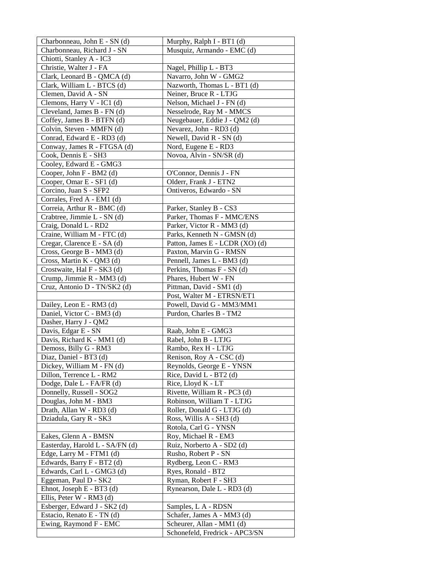| Musquiz, Armando - EMC (d)                  |
|---------------------------------------------|
|                                             |
|                                             |
| Nagel, Phillip L - BT3                      |
| Navarro, John W - GMG2                      |
| Nazworth, Thomas L - BT1 (d)                |
| Neiner, Bruce R - LTJG                      |
| Nelson, Michael J - FN (d)                  |
| Nesselrode, Ray M - MMCS                    |
| Neugebauer, Eddie J - QM2 (d)               |
| Nevarez, John - RD3 (d)                     |
| Newell, David R - SN (d)                    |
| Nord, Eugene E - RD3                        |
| Novoa, Alvin - SN/SR (d)                    |
|                                             |
| O'Connor, Dennis J - FN                     |
| Olderr, Frank J - ETN2                      |
| Ontiveros, Edwardo - SN                     |
|                                             |
| Parker, Stanley B - CS3                     |
| Parker, Thomas F - MMC/ENS                  |
| Parker, Victor R - MM3 (d)                  |
| Parks, Kenneth N - GMSN (d)                 |
| Patton, James E - LCDR (XO) (d)             |
| Paxton, Marvin G - RMSN                     |
| Pennell, James L - BM3 (d)                  |
| Perkins, Thomas F - SN (d)                  |
| Phares, Hubert W - FN                       |
| Pittman, David - SM1 (d)                    |
| Post, Walter M - ETRSN/ET1                  |
| Powell, David G - MM3/MM1                   |
| Purdon, Charles B - TM2                     |
|                                             |
| Raab, John E - GMG3                         |
| Rabel, John B - LTJG<br>Rambo, Rex H - LTJG |
| Renison, Roy A - CSC (d)                    |
| Reynolds, George E - YNSN                   |
| Rice, David L - BT2 (d)                     |
| Rice, Lloyd K - LT                          |
| Rivette, William R - PC3 (d)                |
| Robinson, William T - LTJG                  |
| Roller, Donald G - LTJG (d)                 |
| Ross, Willis A - SH3 (d)                    |
| Rotola, Carl G - YNSN                       |
| Roy, Michael R - EM3                        |
| Ruiz, Norberto A - SD2 (d)                  |
| Rusho, Robert P - SN                        |
| Rydberg, Leon C - RM3                       |
| Ryes, Ronald - BT2                          |
| Ryman, Robert F - SH3                       |
| Rynearson, Dale L - RD3 (d)                 |
|                                             |
| Samples, L A - RDSN                         |
| Schafer, James A - MM3 (d)                  |
| Scheurer, Allan - MM1 (d)                   |
| Schonefeld, Fredrick - APC3/SN              |
|                                             |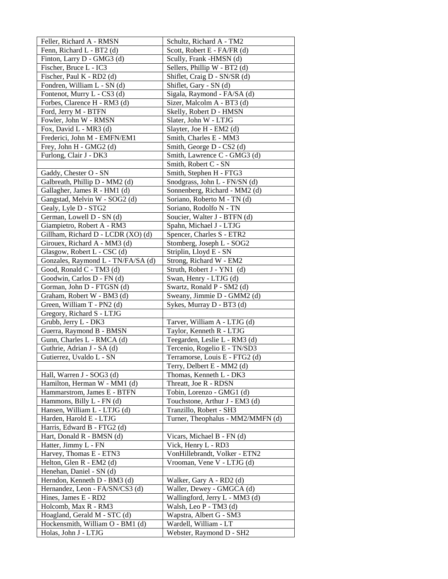| Feller, Richard A - RMSN           | Schultz, Richard A - TM2          |
|------------------------------------|-----------------------------------|
| Fenn, Richard L - BT2 (d)          | Scott, Robert E - FA/FR (d)       |
| Finton, Larry D - GMG3 (d)         | Scully, Frank -HMSN (d)           |
| Fischer, Bruce L - IC3             | Sellers, Phillip W - BT2 (d)      |
| Fischer, Paul K - RD2 (d)          | Shiflet, Craig D - SN/SR (d)      |
| Fondren, William L - SN (d)        | Shiflet, Gary - SN (d)            |
| Fontenot, Murry L - CS3 (d)        | Sigala, Raymond - FA/SA (d)       |
| Forbes, Clarence H - RM3 (d)       | Sizer, Malcolm A - BT3 (d)        |
| Ford, Jerry M - BTFN               | Skelly, Robert D - HMSN           |
| Fowler, John W - RMSN              | Slater, John W - LTJG             |
| Fox, David L - MR3 (d)             | Slayter, Joe H - EM2 (d)          |
| Frederici, John M - EMFN/EM1       | Smith, Charles E - MM3            |
| Frey, John H - GMG2 (d)            | Smith, George D - CS2 (d)         |
| Furlong, Clair J - DK3             | Smith, Lawrence C - GMG3 (d)      |
|                                    | Smith, Robert C - SN              |
| Gaddy, Chester O - SN              | Smith, Stephen H - FTG3           |
| Galbreath, Phillip D - MM2 (d)     | Snodgrass, John L - FN/SN (d)     |
| Gallagher, James R - HM1 (d)       | Sonnenberg, Richard - MM2 (d)     |
| Gangstad, Melvin W - SOG2 (d)      | Soriano, Roberto M - TN (d)       |
| Gealy, Lyle D - STG2               | Soriano, Rodolfo N - TN           |
| German, Lowell D - SN (d)          | Soucier, Walter J - BTFN (d)      |
| Giampietro, Robert A - RM3         | Spahn, Michael J - LTJG           |
| Gillham, Richard D - LCDR (XO) (d) | Spencer, Charles S - ETR2         |
| Girouex, Richard A - MM3 (d)       | Stomberg, Joseph L - SOG2         |
| Glasgow, Robert L - CSC (d)        | Striplin, Lloyd E - SN            |
| Gonzales, Raymond L - TN/FA/SA (d) | Strong, Richard W - EM2           |
| Good, Ronald C - TM3 (d)           | Struth, Robert J - YN1 (d)        |
| Goodwin, Carlos D - FN (d)         | Swan, Henry - LTJG (d)            |
| Gorman, John D - FTGSN (d)         | Swartz, Ronald P - SM2 (d)        |
| Graham, Robert W - BM3 (d)         | Sweany, Jimmie D - GMM2 (d)       |
| Green, William T - PN2 (d)         | Sykes, Murray D - BT3 (d)         |
| Gregory, Richard S - LTJG          |                                   |
| Grubb, Jerry L - DK3               | Tarver, William A - LTJG (d)      |
| Guerra, Raymond B - BMSN           | Taylor, Kenneth R - LTJG          |
| Gunn, Charles L - RMCA (d)         | Teegarden, Leslie L - RM3 (d)     |
| Guthrie, Adrian J - SA (d)         | Tercenio, Rogelio E - TN/SD3      |
| Gutierrez, Uvaldo L - SN           | Terramorse, Louis E - FTG2 (d)    |
|                                    | Terry, Delbert E - MM2 (d)        |
| Hall, Warren J - SOG3 (d)          | Thomas, Kenneth L - DK3           |
| Hamilton, Herman W - MM1 (d)       | Threatt, Joe R - RDSN             |
| Hammarstrom, James E - BTFN        | Tobin, Lorenzo - GMG1 (d)         |
| Hammons, Billy L - FN (d)          | Touchstone, Arthur J - EM3 (d)    |
| Hansen, William L - LTJG (d)       | Tranzillo, Robert - SH3           |
| Harden, Harold E - LTJG            | Turner, Theophalus - MM2/MMFN (d) |
| Harris, Edward B - FTG2 (d)        |                                   |
| Hart, Donald R - BMSN (d)          | Vicars, Michael B - FN (d)        |
| Hatter, Jimmy L - FN               | Vick, Henry L - RD3               |
| Harvey, Thomas E - ETN3            | VonHillebrandt, Volker - ETN2     |
| Helton, Glen R - EM2 (d)           | Vrooman, Vene V - LTJG (d)        |
| Henehan, Daniel - SN (d)           |                                   |
| Herndon, Kenneth D - BM3 (d)       | Walker, Gary A - RD2 (d)          |
| Hernandez, Leon - FA/SN/CS3 (d)    | Waller, Dewey - GMGCA (d)         |
| Hines, James E - RD2               | Wallingford, Jerry L - MM3 (d)    |
| Holcomb, Max R - RM3               | Walsh, Leo P - TM3 (d)            |
| Hoagland, Gerald M - STC (d)       | Wapstra, Albert G - SM3           |
| Hockensmith, William O - BM1 (d)   | Wardell, William - LT             |
| Holas, John J - LTJG               | Webster, Raymond D - SH2          |